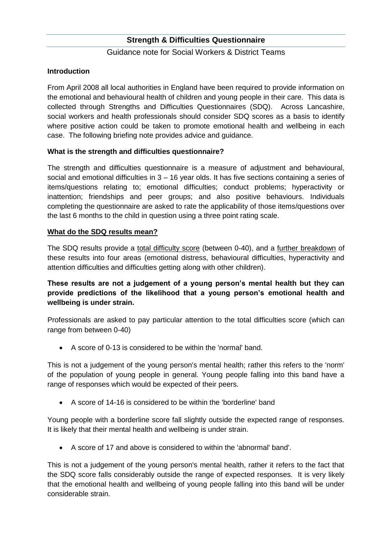### Guidance note for Social Workers & District Teams

### **Introduction**

From April 2008 all local authorities in England have been required to provide information on the emotional and behavioural health of children and young people in their care. This data is collected through Strengths and Difficulties Questionnaires (SDQ). Across Lancashire, social workers and health professionals should consider SDQ scores as a basis to identify where positive action could be taken to promote emotional health and wellbeing in each case. The following briefing note provides advice and guidance.

### **What is the strength and difficulties questionnaire?**

The strength and difficulties questionnaire is a measure of adjustment and behavioural, social and emotional difficulties in 3 – 16 year olds. It has five sections containing a series of items/questions relating to; emotional difficulties; conduct problems; hyperactivity or inattention; friendships and peer groups; and also positive behaviours. Individuals completing the questionnaire are asked to rate the applicability of those items/questions over the last 6 months to the child in question using a three point rating scale.

#### **What do the SDQ results mean?**

The SDQ results provide a total difficulty score (between 0-40), and a further breakdown of these results into four areas (emotional distress, behavioural difficulties, hyperactivity and attention difficulties and difficulties getting along with other children).

## **These results are not a judgement of a young person's mental health but they can provide predictions of the likelihood that a young person's emotional health and wellbeing is under strain.**

Professionals are asked to pay particular attention to the total difficulties score (which can range from between 0-40)

A score of 0-13 is considered to be within the 'normal' band.

This is not a judgement of the young person's mental health; rather this refers to the 'norm' of the population of young people in general. Young people falling into this band have a range of responses which would be expected of their peers.

A score of 14-16 is considered to be within the 'borderline' band

Young people with a borderline score fall slightly outside the expected range of responses. It is likely that their mental health and wellbeing is under strain.

A score of 17 and above is considered to within the 'abnormal' band'.

This is not a judgement of the young person's mental health, rather it refers to the fact that the SDQ score falls considerably outside the range of expected responses. It is very likely that the emotional health and wellbeing of young people falling into this band will be under considerable strain.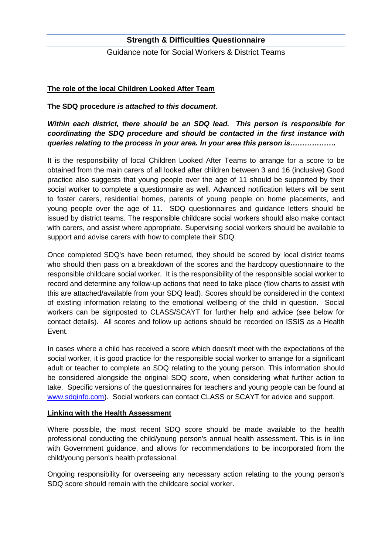Guidance note for Social Workers & District Teams

### **The role of the local Children Looked After Team**

**The SDQ procedure** *is attached to this document.*

*Within each district, there should be an SDQ lead. This person is responsible for coordinating the SDQ procedure and should be contacted in the first instance with queries relating to the process in your area. In your area this person is……………….*

It is the responsibility of local Children Looked After Teams to arrange for a score to be obtained from the main carers of all looked after children between 3 and 16 (inclusive) Good practice also suggests that young people over the age of 11 should be supported by their social worker to complete a questionnaire as well. Advanced notification letters will be sent to foster carers, residential homes, parents of young people on home placements, and young people over the age of 11. SDQ questionnaires and guidance letters should be issued by district teams. The responsible childcare social workers should also make contact with carers, and assist where appropriate. Supervising social workers should be available to support and advise carers with how to complete their SDQ.

Once completed SDQ's have been returned, they should be scored by local district teams who should then pass on a breakdown of the scores and the hardcopy questionnaire to the responsible childcare social worker. It is the responsibility of the responsible social worker to record and determine any follow-up actions that need to take place (flow charts to assist with this are attached/available from your SDQ lead). Scores should be considered in the context of existing information relating to the emotional wellbeing of the child in question. Social workers can be signposted to CLASS/SCAYT for further help and advice (see below for contact details). All scores and follow up actions should be recorded on ISSIS as a Health Event.

In cases where a child has received a score which doesn't meet with the expectations of the social worker, it is good practice for the responsible social worker to arrange for a significant adult or teacher to complete an SDQ relating to the young person. This information should be considered alongside the original SDQ score, when considering what further action to take. Specific versions of the questionnaires for teachers and young people can be found at [www.sdqinfo.com\)](http://www.sdqinfo.com/). Social workers can contact CLASS or SCAYT for advice and support.

#### **Linking with the Health Assessment**

Where possible, the most recent SDQ score should be made available to the health professional conducting the child/young person's annual health assessment. This is in line with Government guidance, and allows for recommendations to be incorporated from the child/young person's health professional.

Ongoing responsibility for overseeing any necessary action relating to the young person's SDQ score should remain with the childcare social worker.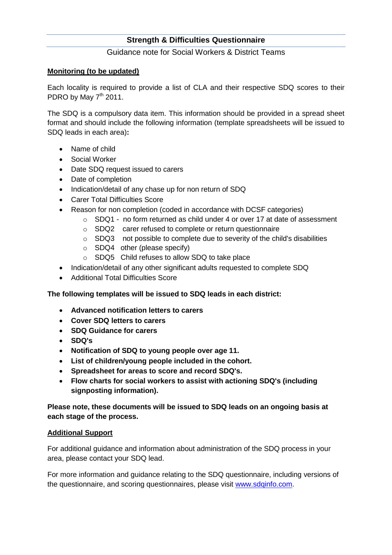Guidance note for Social Workers & District Teams

## **Monitoring (to be updated)**

Each locality is required to provide a list of CLA and their respective SDQ scores to their PDRO by May  $7<sup>th</sup>$  2011.

The SDQ is a compulsory data item. This information should be provided in a spread sheet format and should include the following information (template spreadsheets will be issued to SDQ leads in each area)**:**

- Name of child
- Social Worker
- Date SDQ request issued to carers
- Date of completion
- Indication/detail of any chase up for non return of SDQ
- Carer Total Difficulties Score
- Reason for non completion (coded in accordance with DCSF categories)
	- $\circ$  SDQ1 no form returned as child under 4 or over 17 at date of assessment
	- o SDQ2 carer refused to complete or return questionnaire
	- o SDQ3 not possible to complete due to severity of the child's disabilities
	- o SDQ4 other (please specify)
	- o SDQ5 Child refuses to allow SDQ to take place
- Indication/detail of any other significant adults requested to complete SDQ
- Additional Total Difficulties Score

### **The following templates will be issued to SDQ leads in each district:**

- **Advanced notification letters to carers**
- **Cover SDQ letters to carers**
- **SDQ Guidance for carers**
- **SDQ's**
- **Notification of SDQ to young people over age 11.**
- **List of children/young people included in the cohort.**
- **Spreadsheet for areas to score and record SDQ's.**
- **Flow charts for social workers to assist with actioning SDQ's (including signposting information).**

# **Please note, these documents will be issued to SDQ leads on an ongoing basis at each stage of the process.**

### **Additional Support**

For additional guidance and information about administration of the SDQ process in your area, please contact your SDQ lead.

For more information and guidance relating to the SDQ questionnaire, including versions of the questionnaire, and scoring questionnaires, please visit [www.sdqinfo.com.](http://www.sdqinfo.com/)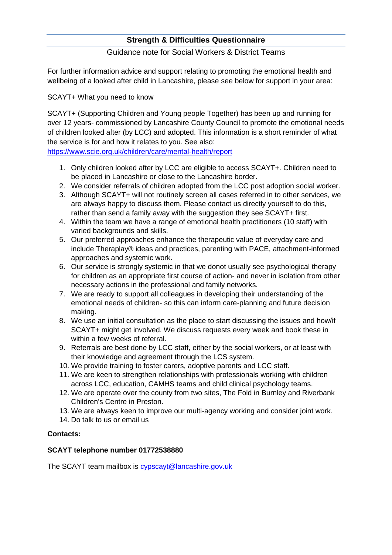## Guidance note for Social Workers & District Teams

For further information advice and support relating to promoting the emotional health and wellbeing of a looked after child in Lancashire, please see below for support in your area:

SCAYT+ What you need to know

SCAYT+ (Supporting Children and Young people Together) has been up and running for over 12 years- commissioned by Lancashire County Council to promote the emotional needs of children looked after (by LCC) and adopted. This information is a short reminder of what the service is for and how it relates to you. See also:

<https://www.scie.org.uk/children/care/mental-health/report>

- 1. Only children looked after by LCC are eligible to access SCAYT+. Children need to be placed in Lancashire or close to the Lancashire border.
- 2. We consider referrals of children adopted from the LCC post adoption social worker.
- 3. Although SCAYT+ will not routinely screen all cases referred in to other services, we are always happy to discuss them. Please contact us directly yourself to do this, rather than send a family away with the suggestion they see SCAYT+ first.
- 4. Within the team we have a range of emotional health practitioners (10 staff) with varied backgrounds and skills.
- 5. Our preferred approaches enhance the therapeutic value of everyday care and include Theraplay® ideas and practices, parenting with PACE, attachment-informed approaches and systemic work.
- 6. Our service is strongly systemic in that we donot usually see psychological therapy for children as an appropriate first course of action- and never in isolation from other necessary actions in the professional and family networks.
- 7. We are ready to support all colleagues in developing their understanding of the emotional needs of children- so this can inform care-planning and future decision making.
- 8. We use an initial consultation as the place to start discussing the issues and how/if SCAYT+ might get involved. We discuss requests every week and book these in within a few weeks of referral.
- 9. Referrals are best done by LCC staff, either by the social workers, or at least with their knowledge and agreement through the LCS system.
- 10. We provide training to foster carers, adoptive parents and LCC staff.
- 11. We are keen to strengthen relationships with professionals working with children across LCC, education, CAMHS teams and child clinical psychology teams.
- 12. We are operate over the county from two sites, The Fold in Burnley and Riverbank Children's Centre in Preston.
- 13. We are always keen to improve our multi-agency working and consider joint work.
- 14. Do talk to us or email us

# **Contacts:**

# **SCAYT telephone number 01772538880**

The SCAYT team mailbox is [cypscayt@lancashire.gov.uk](mailto:cypscayt@lancashire.gov.uk)